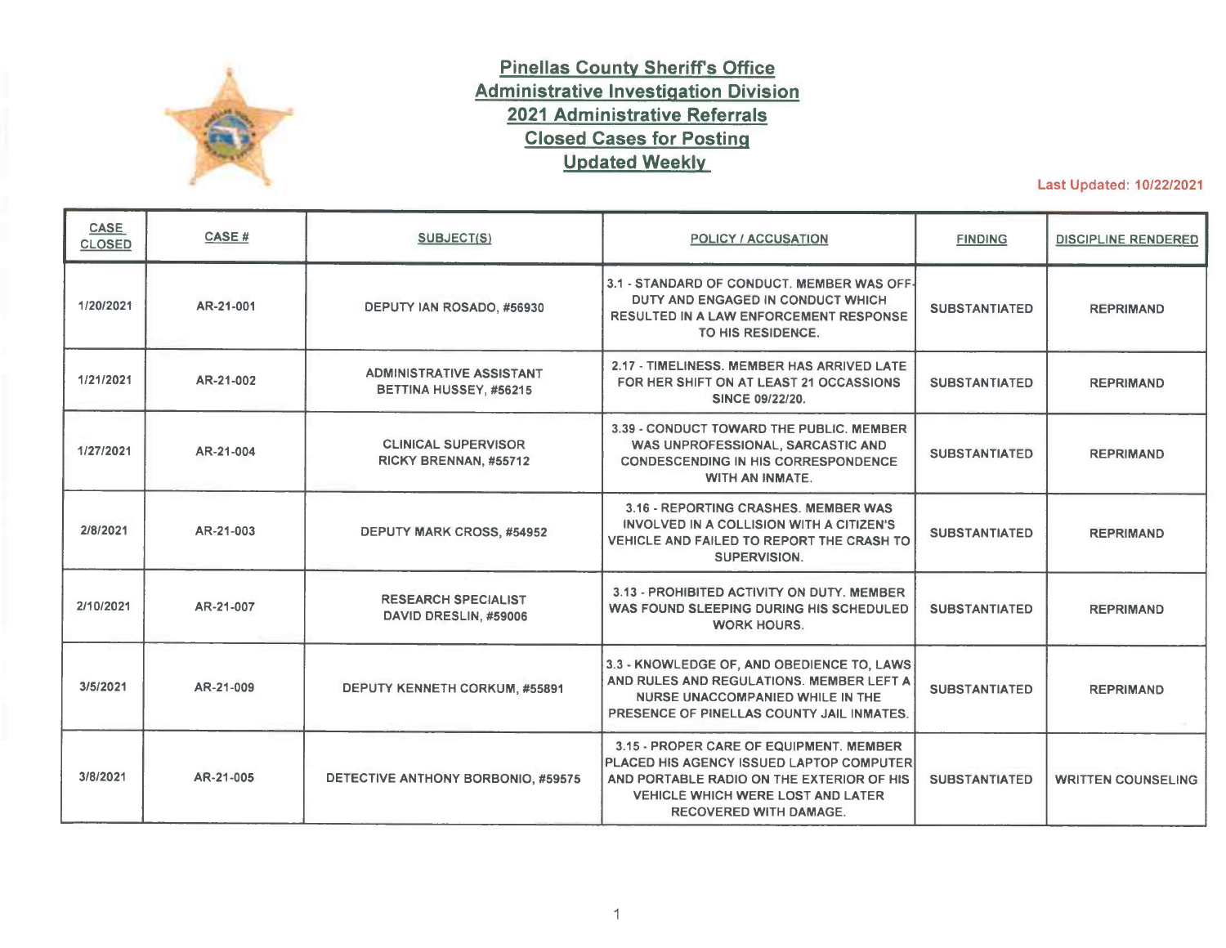

## **Pinellas County Sheriffs Office Administrative Investigation Division 2021 Administrative Referrals Closed Cases for Posting Updated Weekly**

Last Updated: 10/22/2021

| <b>CASE</b><br><b>CLOSED</b> | <b>CASE#</b> | <b>SUBJECT(S)</b>                                         | <b>POLICY / ACCUSATION</b>                                                                                                                                                                             | <b>FINDING</b>       | <b>DISCIPLINE RENDERED</b> |
|------------------------------|--------------|-----------------------------------------------------------|--------------------------------------------------------------------------------------------------------------------------------------------------------------------------------------------------------|----------------------|----------------------------|
| 1/20/2021                    | AR-21-001    | DEPUTY IAN ROSADO, #56930                                 | 3.1 - STANDARD OF CONDUCT, MEMBER WAS OFF-<br>DUTY AND ENGAGED IN CONDUCT WHICH<br><b>RESULTED IN A LAW ENFORCEMENT RESPONSE</b><br>TO HIS RESIDENCE.                                                  | <b>SUBSTANTIATED</b> | <b>REPRIMAND</b>           |
| 1/21/2021                    | AR-21-002    | <b>ADMINISTRATIVE ASSISTANT</b><br>BETTINA HUSSEY, #56215 | 2.17 - TIMELINESS. MEMBER HAS ARRIVED LATE<br>FOR HER SHIFT ON AT LEAST 21 OCCASSIONS<br>SINCE 09/22/20.                                                                                               | <b>SUBSTANTIATED</b> | <b>REPRIMAND</b>           |
| 1/27/2021                    | AR-21-004    | <b>CLINICAL SUPERVISOR</b><br>RICKY BRENNAN, #55712       | 3.39 - CONDUCT TOWARD THE PUBLIC, MEMBER<br>WAS UNPROFESSIONAL, SARCASTIC AND<br><b>CONDESCENDING IN HIS CORRESPONDENCE</b><br><b>WITH AN INMATE.</b>                                                  | <b>SUBSTANTIATED</b> | <b>REPRIMAND</b>           |
| 2/8/2021                     | AR-21-003    | <b>DEPUTY MARK CROSS, #54952</b>                          | 3.16 - REPORTING CRASHES, MEMBER WAS<br>INVOLVED IN A COLLISION WITH A CITIZEN'S<br>VEHICLE AND FAILED TO REPORT THE CRASH TO<br>SUPERVISION.                                                          | <b>SUBSTANTIATED</b> | <b>REPRIMAND</b>           |
| 2/10/2021                    | AR-21-007    | <b>RESEARCH SPECIALIST</b><br>DAVID DRESLIN, #59006       | 3.13 - PROHIBITED ACTIVITY ON DUTY, MEMBER<br>WAS FOUND SLEEPING DURING HIS SCHEDULED<br><b>WORK HOURS.</b>                                                                                            | <b>SUBSTANTIATED</b> | <b>REPRIMAND</b>           |
| 3/5/2021                     | AR-21-009    | DEPUTY KENNETH CORKUM, #55891                             | 3.3 - KNOWLEDGE OF, AND OBEDIENCE TO, LAWS<br>AND RULES AND REGULATIONS. MEMBER LEFT A<br>NURSE UNACCOMPANIED WHILE IN THE<br>PRESENCE OF PINELLAS COUNTY JAIL INMATES.                                | <b>SUBSTANTIATED</b> | <b>REPRIMAND</b>           |
| 3/8/2021                     | AR-21-005    | DETECTIVE ANTHONY BORBONIO, #59575                        | 3.15 - PROPER CARE OF EQUIPMENT, MEMBER<br>PLACED HIS AGENCY ISSUED LAPTOP COMPUTER<br>AND PORTABLE RADIO ON THE EXTERIOR OF HIS<br>VEHICLE WHICH WERE LOST AND LATER<br><b>RECOVERED WITH DAMAGE.</b> | <b>SUBSTANTIATED</b> | <b>WRITTEN COUNSELING</b>  |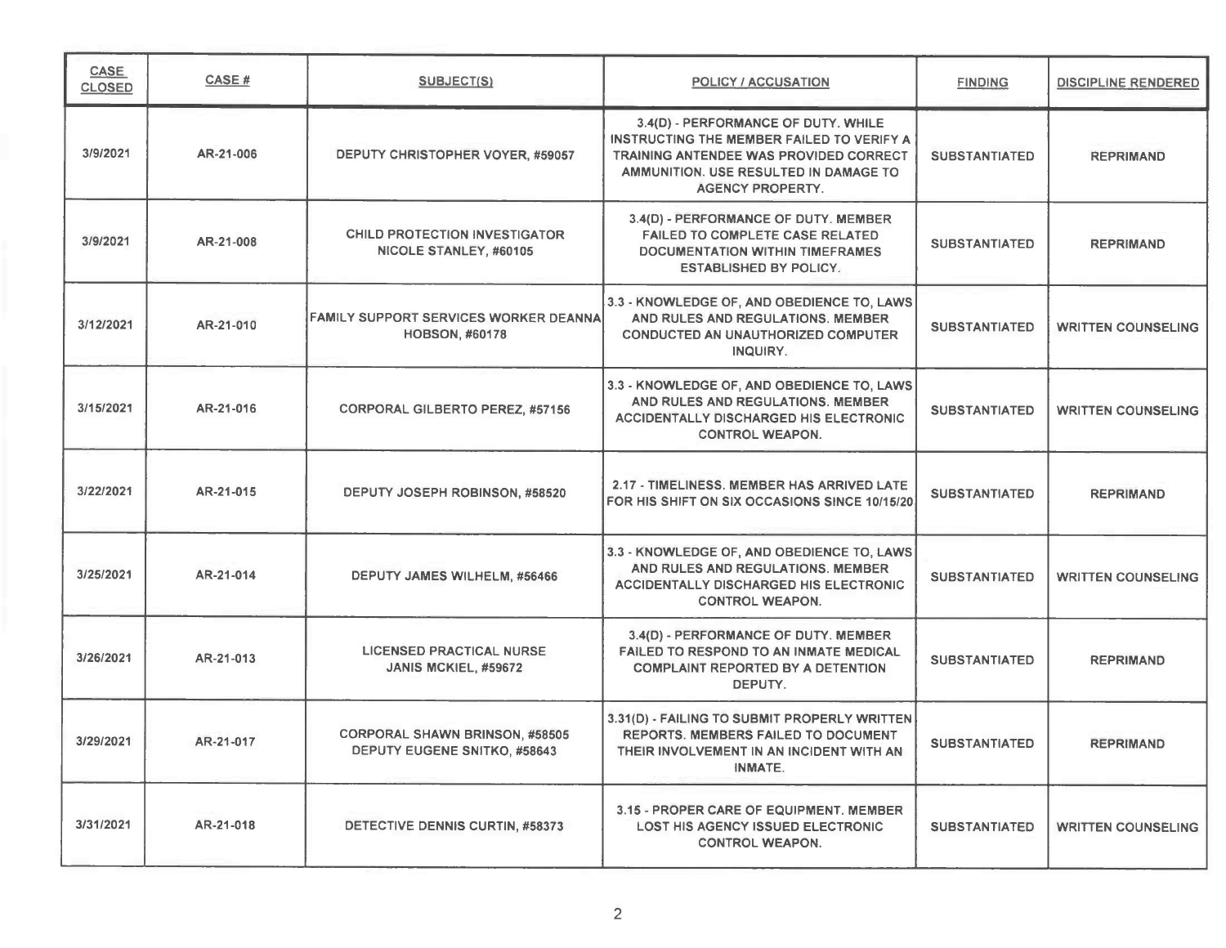| CASE<br><b>CLOSED</b> | CASE #    | <b>SUBJECT(S)</b>                                                     | <b>POLICY / ACCUSATION</b>                                                                                                                                                                     | <b>FINDING</b>       | DISCIPLINE RENDERED       |
|-----------------------|-----------|-----------------------------------------------------------------------|------------------------------------------------------------------------------------------------------------------------------------------------------------------------------------------------|----------------------|---------------------------|
| 3/9/2021              | AR-21-006 | DEPUTY CHRISTOPHER VOYER, #59057                                      | 3.4(D) - PERFORMANCE OF DUTY. WHILE<br>INSTRUCTING THE MEMBER FAILED TO VERIFY A<br>TRAINING ANTENDEE WAS PROVIDED CORRECT<br>AMMUNITION. USE RESULTED IN DAMAGE TO<br><b>AGENCY PROPERTY.</b> | <b>SUBSTANTIATED</b> | <b>REPRIMAND</b>          |
| 3/9/2021              | AR-21-008 | <b>CHILD PROTECTION INVESTIGATOR</b><br>NICOLE STANLEY, #60105        | 3.4(D) - PERFORMANCE OF DUTY. MEMBER<br><b>FAILED TO COMPLETE CASE RELATED</b><br><b>DOCUMENTATION WITHIN TIMEFRAMES</b><br><b>ESTABLISHED BY POLICY.</b>                                      | <b>SUBSTANTIATED</b> | <b>REPRIMAND</b>          |
| 3/12/2021             | AR-21-010 | FAMILY SUPPORT SERVICES WORKER DEANNA<br><b>HOBSON, #60178</b>        | 3.3 - KNOWLEDGE OF, AND OBEDIENCE TO, LAWS<br>AND RULES AND REGULATIONS. MEMBER<br><b>CONDUCTED AN UNAUTHORIZED COMPUTER</b><br>INQUIRY.                                                       | <b>SUBSTANTIATED</b> | <b>WRITTEN COUNSELING</b> |
| 3/15/2021             | AR-21-016 | <b>CORPORAL GILBERTO PEREZ, #57156</b>                                | 3.3 - KNOWLEDGE OF, AND OBEDIENCE TO, LAWS<br>AND RULES AND REGULATIONS. MEMBER<br><b>ACCIDENTALLY DISCHARGED HIS ELECTRONIC</b><br><b>CONTROL WEAPON.</b>                                     | <b>SUBSTANTIATED</b> | <b>WRITTEN COUNSELING</b> |
| 3/22/2021             | AR-21-015 | DEPUTY JOSEPH ROBINSON, #58520                                        | 2.17 - TIMELINESS, MEMBER HAS ARRIVED LATE<br>FOR HIS SHIFT ON SIX OCCASIONS SINCE 10/15/20                                                                                                    | <b>SUBSTANTIATED</b> | <b>REPRIMAND</b>          |
| 3/25/2021             | AR-21-014 | DEPUTY JAMES WILHELM, #56466                                          | 3.3 - KNOWLEDGE OF, AND OBEDIENCE TO, LAWS<br>AND RULES AND REGULATIONS. MEMBER<br><b>ACCIDENTALLY DISCHARGED HIS ELECTRONIC</b><br><b>CONTROL WEAPON.</b>                                     | <b>SUBSTANTIATED</b> | <b>WRITTEN COUNSELING</b> |
| 3/26/2021             | AR-21-013 | <b>LICENSED PRACTICAL NURSE</b><br>JANIS MCKIEL, #59672               | 3.4(D) - PERFORMANCE OF DUTY. MEMBER<br><b>FAILED TO RESPOND TO AN INMATE MEDICAL</b><br><b>COMPLAINT REPORTED BY A DETENTION</b><br>DEPUTY.                                                   | <b>SUBSTANTIATED</b> | <b>REPRIMAND</b>          |
| 3/29/2021             | AR-21-017 | <b>CORPORAL SHAWN BRINSON, #58505</b><br>DEPUTY EUGENE SNITKO, #58643 | 3.31(D) - FAILING TO SUBMIT PROPERLY WRITTEN<br>REPORTS. MEMBERS FAILED TO DOCUMENT<br>THEIR INVOLVEMENT IN AN INCIDENT WITH AN<br><b>INMATE.</b>                                              | <b>SUBSTANTIATED</b> | <b>REPRIMAND</b>          |
| 3/31/2021             | AR-21-018 | DETECTIVE DENNIS CURTIN, #58373                                       | 3.15 - PROPER CARE OF EQUIPMENT. MEMBER<br><b>LOST HIS AGENCY ISSUED ELECTRONIC</b><br><b>CONTROL WEAPON.</b>                                                                                  | <b>SUBSTANTIATED</b> | <b>WRITTEN COUNSELING</b> |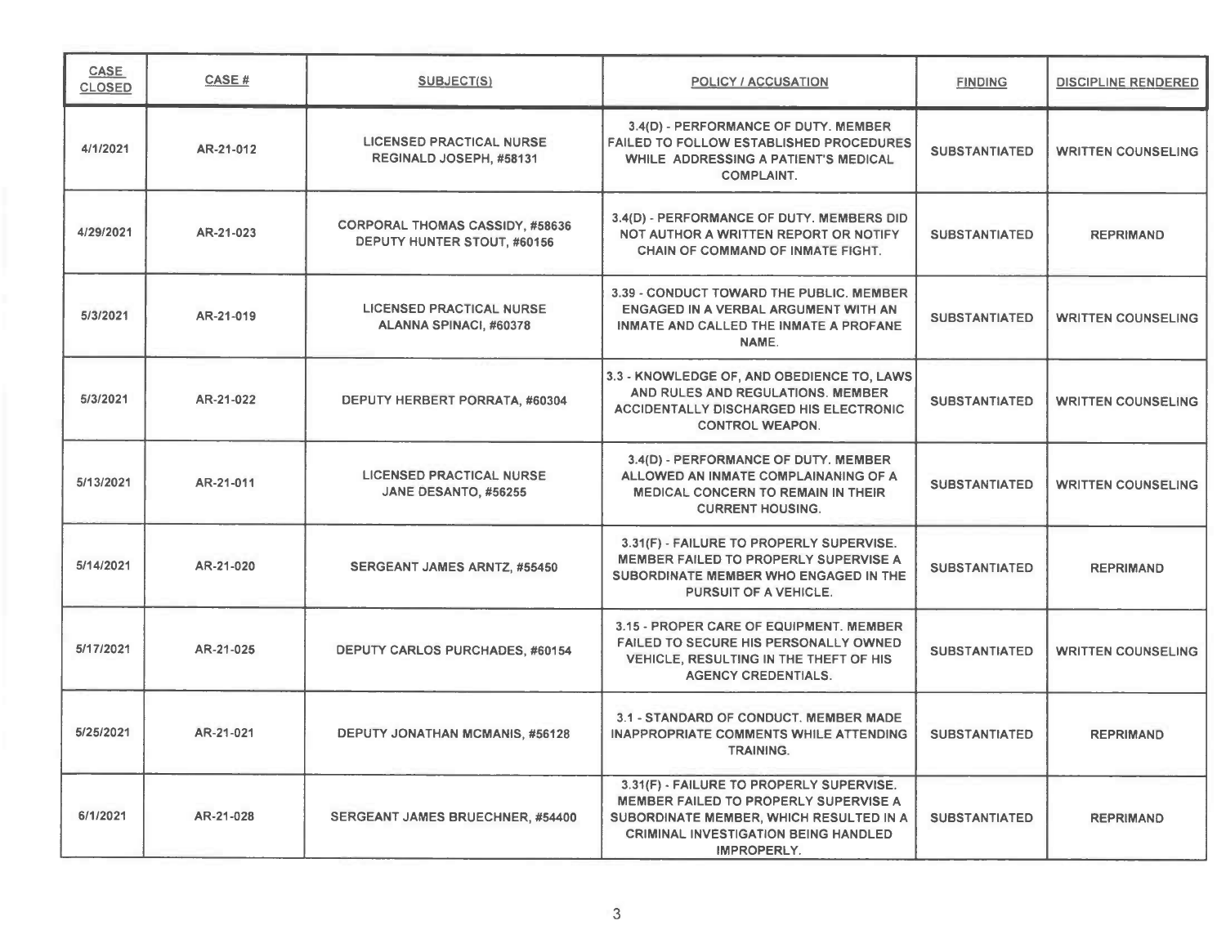| CASE<br><b>CLOSED</b> | <b>CASE#</b> | SUBJECT(S)                                                            | <b>POLICY / ACCUSATION</b>                                                                                                                                                                        | <b>FINDING</b>       | <b>DISCIPLINE RENDERED</b> |
|-----------------------|--------------|-----------------------------------------------------------------------|---------------------------------------------------------------------------------------------------------------------------------------------------------------------------------------------------|----------------------|----------------------------|
| 4/1/2021              | AR-21-012    | <b>LICENSED PRACTICAL NURSE</b><br>REGINALD JOSEPH, #58131            | 3.4(D) - PERFORMANCE OF DUTY. MEMBER<br><b>FAILED TO FOLLOW ESTABLISHED PROCEDURES</b><br>WHILE ADDRESSING A PATIENT'S MEDICAL<br><b>COMPLAINT.</b>                                               | <b>SUBSTANTIATED</b> | <b>WRITTEN COUNSELING</b>  |
| 4/29/2021             | AR-21-023    | <b>CORPORAL THOMAS CASSIDY, #58636</b><br>DEPUTY HUNTER STOUT, #60156 | 3.4(D) - PERFORMANCE OF DUTY. MEMBERS DID<br>NOT AUTHOR A WRITTEN REPORT OR NOTIFY<br>CHAIN OF COMMAND OF INMATE FIGHT.                                                                           | <b>SUBSTANTIATED</b> | <b>REPRIMAND</b>           |
| 5/3/2021              | AR-21-019    | <b>LICENSED PRACTICAL NURSE</b><br>ALANNA SPINACI, #60378             | 3.39 - CONDUCT TOWARD THE PUBLIC, MEMBER<br>ENGAGED IN A VERBAL ARGUMENT WITH AN<br>INMATE AND CALLED THE INMATE A PROFANE<br>NAME.                                                               | <b>SUBSTANTIATED</b> | <b>WRITTEN COUNSELING</b>  |
| 5/3/2021              | AR-21-022    | DEPUTY HERBERT PORRATA, #60304                                        | 3.3 - KNOWLEDGE OF, AND OBEDIENCE TO, LAWS<br>AND RULES AND REGULATIONS. MEMBER<br><b>ACCIDENTALLY DISCHARGED HIS ELECTRONIC</b><br><b>CONTROL WEAPON.</b>                                        | <b>SUBSTANTIATED</b> | <b>WRITTEN COUNSELING</b>  |
| 5/13/2021             | AR-21-011    | <b>LICENSED PRACTICAL NURSE</b><br>JANE DESANTO, #56255               | 3.4(D) - PERFORMANCE OF DUTY. MEMBER<br>ALLOWED AN INMATE COMPLAINANING OF A<br><b>MEDICAL CONCERN TO REMAIN IN THEIR</b><br><b>CURRENT HOUSING.</b>                                              | <b>SUBSTANTIATED</b> | <b>WRITTEN COUNSELING</b>  |
| 5/14/2021             | AR-21-020    | SERGEANT JAMES ARNTZ, #55450                                          | 3.31(F) - FAILURE TO PROPERLY SUPERVISE.<br><b>MEMBER FAILED TO PROPERLY SUPERVISE A</b><br>SUBORDINATE MEMBER WHO ENGAGED IN THE<br><b>PURSUIT OF A VEHICLE.</b>                                 | <b>SUBSTANTIATED</b> | <b>REPRIMAND</b>           |
| 5/17/2021             | AR-21-025    | <b>DEPUTY CARLOS PURCHADES, #60154</b>                                | 3.15 - PROPER CARE OF EQUIPMENT. MEMBER<br>FAILED TO SECURE HIS PERSONALLY OWNED<br>VEHICLE, RESULTING IN THE THEFT OF HIS<br><b>AGENCY CREDENTIALS.</b>                                          | <b>SUBSTANTIATED</b> | <b>WRITTEN COUNSELING</b>  |
| 5/25/2021             | AR-21-021    | <b>DEPUTY JONATHAN MCMANIS, #56128</b>                                | 3.1 - STANDARD OF CONDUCT, MEMBER MADE<br><b>INAPPROPRIATE COMMENTS WHILE ATTENDING</b><br><b>TRAINING.</b>                                                                                       | <b>SUBSTANTIATED</b> | <b>REPRIMAND</b>           |
| 6/1/2021              | AR-21-028    | SERGEANT JAMES BRUECHNER, #54400                                      | 3.31(F) - FAILURE TO PROPERLY SUPERVISE.<br>MEMBER FAILED TO PROPERLY SUPERVISE A<br>SUBORDINATE MEMBER, WHICH RESULTED IN A<br><b>CRIMINAL INVESTIGATION BEING HANDLED</b><br><b>IMPROPERLY.</b> | <b>SUBSTANTIATED</b> | <b>REPRIMAND</b>           |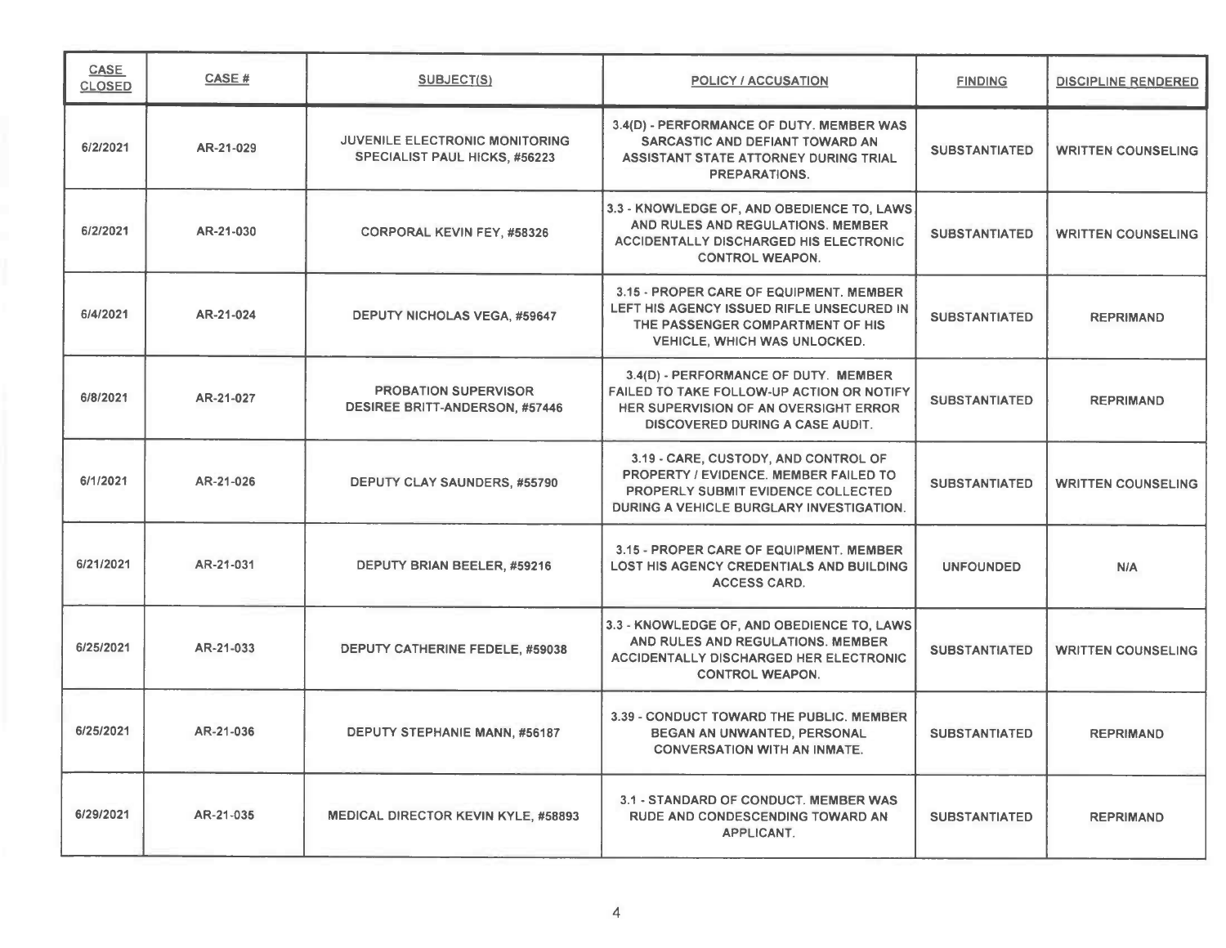| <b>CASE</b><br><b>CLOSED</b> | CASE#     | <b>SUBJECT(S)</b>                                                    | <b>POLICY / ACCUSATION</b>                                                                                                                                             | <b>FINDING</b>       | <b>DISCIPLINE RENDERED</b> |
|------------------------------|-----------|----------------------------------------------------------------------|------------------------------------------------------------------------------------------------------------------------------------------------------------------------|----------------------|----------------------------|
| 6/2/2021                     | AR-21-029 | JUVENILE ELECTRONIC MONITORING<br>SPECIALIST PAUL HICKS, #56223      | 3.4(D) - PERFORMANCE OF DUTY. MEMBER WAS<br>SARCASTIC AND DEFIANT TOWARD AN<br>ASSISTANT STATE ATTORNEY DURING TRIAL<br><b>PREPARATIONS.</b>                           | <b>SUBSTANTIATED</b> | <b>WRITTEN COUNSELING</b>  |
| 6/2/2021                     | AR-21-030 | <b>CORPORAL KEVIN FEY, #58326</b>                                    | 3.3 - KNOWLEDGE OF, AND OBEDIENCE TO, LAWS<br>AND RULES AND REGULATIONS. MEMBER<br><b>ACCIDENTALLY DISCHARGED HIS ELECTRONIC</b><br><b>CONTROL WEAPON.</b>             | <b>SUBSTANTIATED</b> | <b>WRITTEN COUNSELING</b>  |
| 6/4/2021                     | AR-21-024 | <b>DEPUTY NICHOLAS VEGA, #59647</b>                                  | 3.15 - PROPER CARE OF EQUIPMENT. MEMBER<br>LEFT HIS AGENCY ISSUED RIFLE UNSECURED IN<br>THE PASSENGER COMPARTMENT OF HIS<br><b>VEHICLE, WHICH WAS UNLOCKED.</b>        | <b>SUBSTANTIATED</b> | <b>REPRIMAND</b>           |
| 6/8/2021                     | AR-21-027 | <b>PROBATION SUPERVISOR</b><br><b>DESIREE BRITT-ANDERSON, #57446</b> | 3.4(D) - PERFORMANCE OF DUTY. MEMBER<br>FAILED TO TAKE FOLLOW-UP ACTION OR NOTIFY<br>HER SUPERVISION OF AN OVERSIGHT ERROR<br>DISCOVERED DURING A CASE AUDIT.          | <b>SUBSTANTIATED</b> | <b>REPRIMAND</b>           |
| 6/1/2021                     | AR-21-026 | DEPUTY CLAY SAUNDERS, #55790                                         | 3.19 - CARE, CUSTODY, AND CONTROL OF<br>PROPERTY / EVIDENCE. MEMBER FAILED TO<br><b>PROPERLY SUBMIT EVIDENCE COLLECTED</b><br>DURING A VEHICLE BURGLARY INVESTIGATION. | <b>SUBSTANTIATED</b> | <b>WRITTEN COUNSELING</b>  |
| 6/21/2021                    | AR-21-031 | DEPUTY BRIAN BEELER, #59216                                          | 3.15 - PROPER CARE OF EQUIPMENT, MEMBER<br><b>LOST HIS AGENCY CREDENTIALS AND BUILDING</b><br><b>ACCESS CARD.</b>                                                      | <b>UNFOUNDED</b>     | N/A                        |
| 6/25/2021                    | AR-21-033 | DEPUTY CATHERINE FEDELE, #59038                                      | 3.3 - KNOWLEDGE OF, AND OBEDIENCE TO, LAWS<br>AND RULES AND REGULATIONS. MEMBER<br><b>ACCIDENTALLY DISCHARGED HER ELECTRONIC</b><br><b>CONTROL WEAPON.</b>             | <b>SUBSTANTIATED</b> | <b>WRITTEN COUNSELING</b>  |
| 6/25/2021                    | AR-21-036 | DEPUTY STEPHANIE MANN, #56187                                        | 3.39 - CONDUCT TOWARD THE PUBLIC. MEMBER<br>BEGAN AN UNWANTED, PERSONAL<br><b>CONVERSATION WITH AN INMATE.</b>                                                         | <b>SUBSTANTIATED</b> | <b>REPRIMAND</b>           |
| 6/29/2021                    | AR-21-035 | MEDICAL DIRECTOR KEVIN KYLE, #58893                                  | 3.1 - STANDARD OF CONDUCT. MEMBER WAS<br>RUDE AND CONDESCENDING TOWARD AN<br>APPLICANT.                                                                                | <b>SUBSTANTIATED</b> | <b>REPRIMAND</b>           |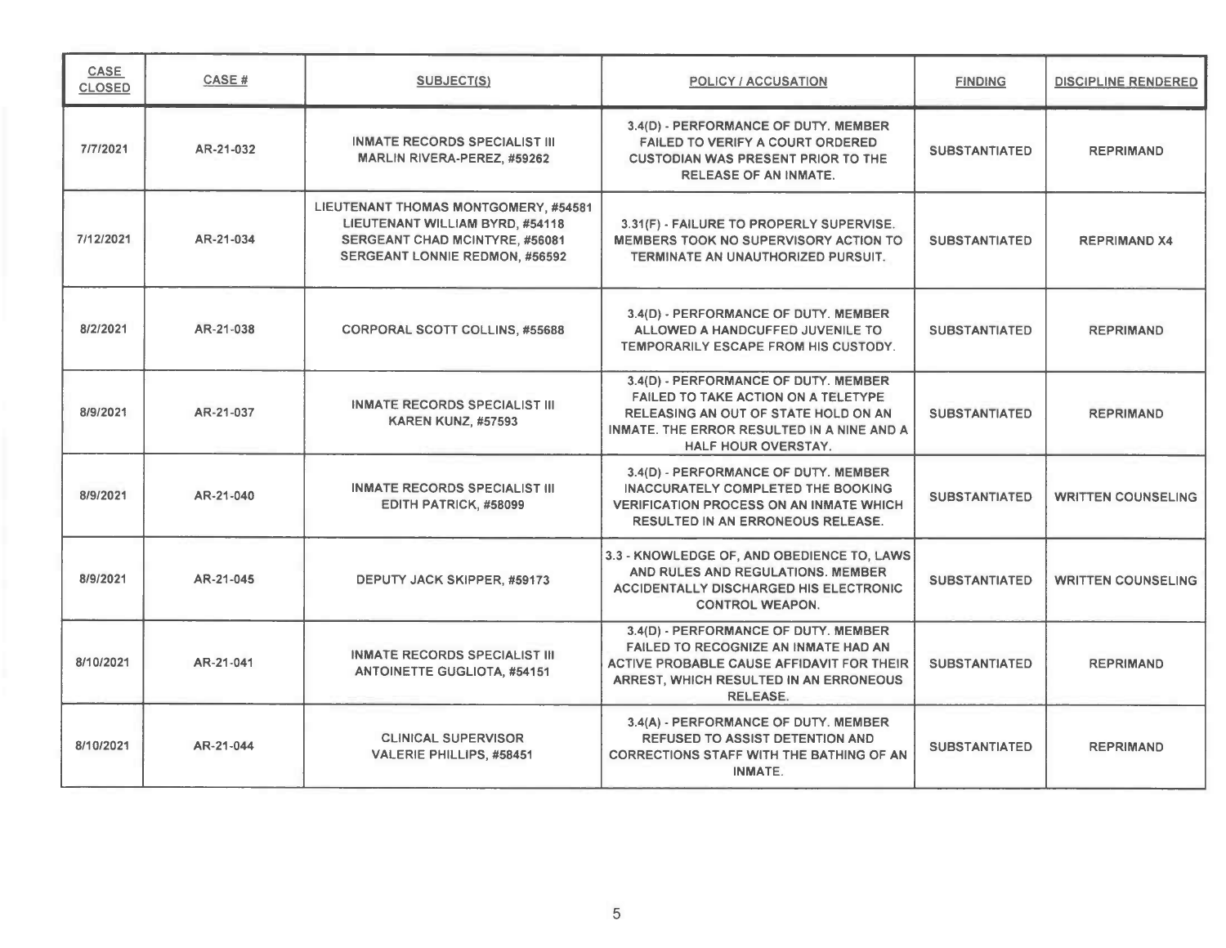| <b>CASE</b><br><b>CLOSED</b> | CASE#     | SUBJECT(S)                                                                                                                                         | POLICY / ACCUSATION                                                                                                                                                                             | <b>FINDING</b>       | <b>DISCIPLINE RENDERED</b> |
|------------------------------|-----------|----------------------------------------------------------------------------------------------------------------------------------------------------|-------------------------------------------------------------------------------------------------------------------------------------------------------------------------------------------------|----------------------|----------------------------|
| 7/7/2021                     | AR-21-032 | <b>INMATE RECORDS SPECIALIST III</b><br><b>MARLIN RIVERA-PEREZ, #59262</b>                                                                         | 3.4(D) - PERFORMANCE OF DUTY. MEMBER<br><b>FAILED TO VERIFY A COURT ORDERED</b><br><b>CUSTODIAN WAS PRESENT PRIOR TO THE</b><br><b>RELEASE OF AN INMATE.</b>                                    | <b>SUBSTANTIATED</b> | <b>REPRIMAND</b>           |
| 7/12/2021                    | AR-21-034 | LIEUTENANT THOMAS MONTGOMERY, #54581<br>LIEUTENANT WILLIAM BYRD, #54118<br>SERGEANT CHAD MCINTYRE, #56081<br><b>SERGEANT LONNIE REDMON, #56592</b> | 3.31(F) - FAILURE TO PROPERLY SUPERVISE.<br><b>MEMBERS TOOK NO SUPERVISORY ACTION TO</b><br>TERMINATE AN UNAUTHORIZED PURSUIT.                                                                  | <b>SUBSTANTIATED</b> | <b>REPRIMAND X4</b>        |
| 8/2/2021                     | AR-21-038 | <b>CORPORAL SCOTT COLLINS, #55688</b>                                                                                                              | 3.4(D) - PERFORMANCE OF DUTY. MEMBER<br>ALLOWED A HANDCUFFED JUVENILE TO<br>TEMPORARILY ESCAPE FROM HIS CUSTODY.                                                                                | <b>SUBSTANTIATED</b> | <b>REPRIMAND</b>           |
| 8/9/2021                     | AR-21-037 | INMATE RECORDS SPECIALIST III<br><b>KAREN KUNZ, #57593</b>                                                                                         | 3.4(D) - PERFORMANCE OF DUTY. MEMBER<br><b>FAILED TO TAKE ACTION ON A TELETYPE</b><br>RELEASING AN OUT OF STATE HOLD ON AN<br>INMATE. THE ERROR RESULTED IN A NINE AND A<br>HALF HOUR OVERSTAY. | <b>SUBSTANTIATED</b> | <b>REPRIMAND</b>           |
| 8/9/2021                     | AR-21-040 | <b>INMATE RECORDS SPECIALIST III</b><br>EDITH PATRICK, #58099                                                                                      | 3.4(D) - PERFORMANCE OF DUTY. MEMBER<br><b>INACCURATELY COMPLETED THE BOOKING</b><br><b>VERIFICATION PROCESS ON AN INMATE WHICH</b><br><b>RESULTED IN AN ERRONEOUS RELEASE.</b>                 | <b>SUBSTANTIATED</b> | <b>WRITTEN COUNSELING</b>  |
| 8/9/2021                     | AR-21-045 | DEPUTY JACK SKIPPER, #59173                                                                                                                        | 3.3 - KNOWLEDGE OF, AND OBEDIENCE TO, LAWS<br>AND RULES AND REGULATIONS. MEMBER<br>ACCIDENTALLY DISCHARGED HIS ELECTRONIC<br><b>CONTROL WEAPON.</b>                                             | <b>SUBSTANTIATED</b> | <b>WRITTEN COUNSELING</b>  |
| 8/10/2021                    | AR-21-041 | <b>INMATE RECORDS SPECIALIST III</b><br><b>ANTOINETTE GUGLIOTA, #54151</b>                                                                         | 3.4(D) - PERFORMANCE OF DUTY. MEMBER<br><b>FAILED TO RECOGNIZE AN INMATE HAD AN</b><br>ACTIVE PROBABLE CAUSE AFFIDAVIT FOR THEIR<br>ARREST, WHICH RESULTED IN AN ERRONEOUS<br><b>RELEASE.</b>   | <b>SUBSTANTIATED</b> | <b>REPRIMAND</b>           |
| 8/10/2021                    | AR-21-044 | <b>CLINICAL SUPERVISOR</b><br><b>VALERIE PHILLIPS, #58451</b>                                                                                      | 3.4(A) - PERFORMANCE OF DUTY. MEMBER<br><b>REFUSED TO ASSIST DETENTION AND</b><br><b>CORRECTIONS STAFF WITH THE BATHING OF AN</b><br>INMATE.                                                    | <b>SUBSTANTIATED</b> | <b>REPRIMAND</b>           |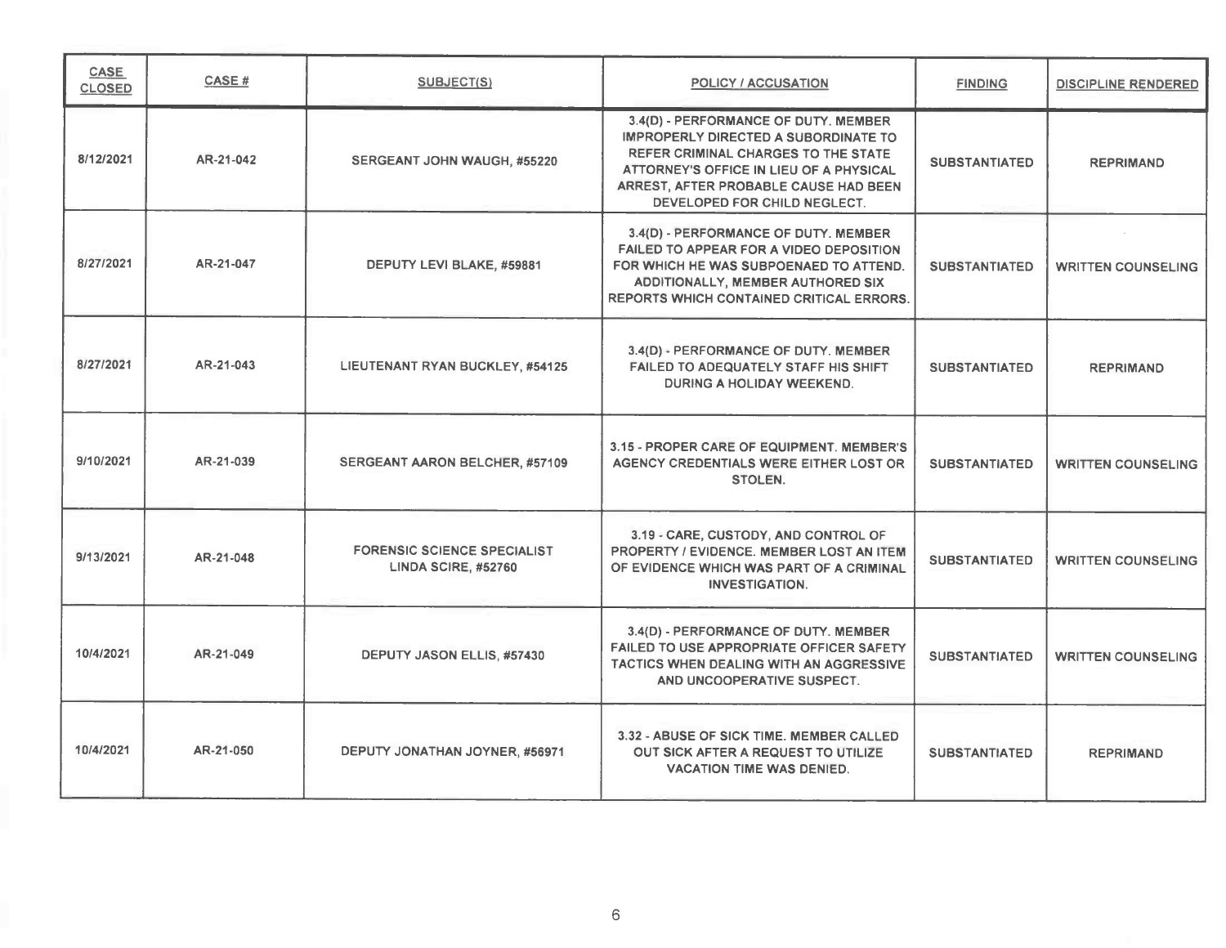| <b>CASE</b><br><b>CLOSED</b> | CASE#     | <b>SUBJECT(S)</b>                                         | <b>POLICY / ACCUSATION</b>                                                                                                                                                                                                                            | <b>FINDING</b>       | <b>DISCIPLINE RENDERED</b> |
|------------------------------|-----------|-----------------------------------------------------------|-------------------------------------------------------------------------------------------------------------------------------------------------------------------------------------------------------------------------------------------------------|----------------------|----------------------------|
| 8/12/2021                    | AR-21-042 | SERGEANT JOHN WAUGH, #55220                               | 3.4(D) - PERFORMANCE OF DUTY. MEMBER<br><b>IMPROPERLY DIRECTED A SUBORDINATE TO</b><br><b>REFER CRIMINAL CHARGES TO THE STATE</b><br>ATTORNEY'S OFFICE IN LIEU OF A PHYSICAL<br>ARREST, AFTER PROBABLE CAUSE HAD BEEN<br>DEVELOPED FOR CHILD NEGLECT. | <b>SUBSTANTIATED</b> | <b>REPRIMAND</b>           |
| 8/27/2021                    | AR-21-047 | DEPUTY LEVI BLAKE, #59881                                 | 3.4(D) - PERFORMANCE OF DUTY. MEMBER<br>FAILED TO APPEAR FOR A VIDEO DEPOSITION<br>FOR WHICH HE WAS SUBPOENAED TO ATTEND.<br><b>ADDITIONALLY, MEMBER AUTHORED SIX</b><br>REPORTS WHICH CONTAINED CRITICAL ERRORS.                                     | <b>SUBSTANTIATED</b> | <b>WRITTEN COUNSELING</b>  |
| 8/27/2021                    | AR-21-043 | LIEUTENANT RYAN BUCKLEY, #54125                           | 3.4(D) - PERFORMANCE OF DUTY. MEMBER<br>FAILED TO ADEQUATELY STAFF HIS SHIFT<br>DURING A HOLIDAY WEEKEND.                                                                                                                                             | <b>SUBSTANTIATED</b> | <b>REPRIMAND</b>           |
| 9/10/2021                    | AR-21-039 | <b>SERGEANT AARON BELCHER, #57109</b>                     | 3.15 - PROPER CARE OF EQUIPMENT. MEMBER'S<br>AGENCY CREDENTIALS WERE EITHER LOST OR<br>STOLEN.                                                                                                                                                        | <b>SUBSTANTIATED</b> | <b>WRITTEN COUNSELING</b>  |
| 9/13/2021                    | AR-21-048 | <b>FORENSIC SCIENCE SPECIALIST</b><br>LINDA SCIRE, #52760 | 3.19 - CARE, CUSTODY, AND CONTROL OF<br>PROPERTY / EVIDENCE, MEMBER LOST AN ITEM<br>OF EVIDENCE WHICH WAS PART OF A CRIMINAL<br><b>INVESTIGATION.</b>                                                                                                 | <b>SUBSTANTIATED</b> | <b>WRITTEN COUNSELING</b>  |
| 10/4/2021                    | AR-21-049 | DEPUTY JASON ELLIS, #57430                                | 3.4(D) - PERFORMANCE OF DUTY. MEMBER<br><b>FAILED TO USE APPROPRIATE OFFICER SAFETY</b><br>TACTICS WHEN DEALING WITH AN AGGRESSIVE<br>AND UNCOOPERATIVE SUSPECT.                                                                                      | <b>SUBSTANTIATED</b> | <b>WRITTEN COUNSELING</b>  |
| 10/4/2021                    | AR-21-050 | DEPUTY JONATHAN JOYNER, #56971                            | 3.32 - ABUSE OF SICK TIME. MEMBER CALLED<br>OUT SICK AFTER A REQUEST TO UTILIZE<br><b>VACATION TIME WAS DENIED.</b>                                                                                                                                   | <b>SUBSTANTIATED</b> | <b>REPRIMAND</b>           |